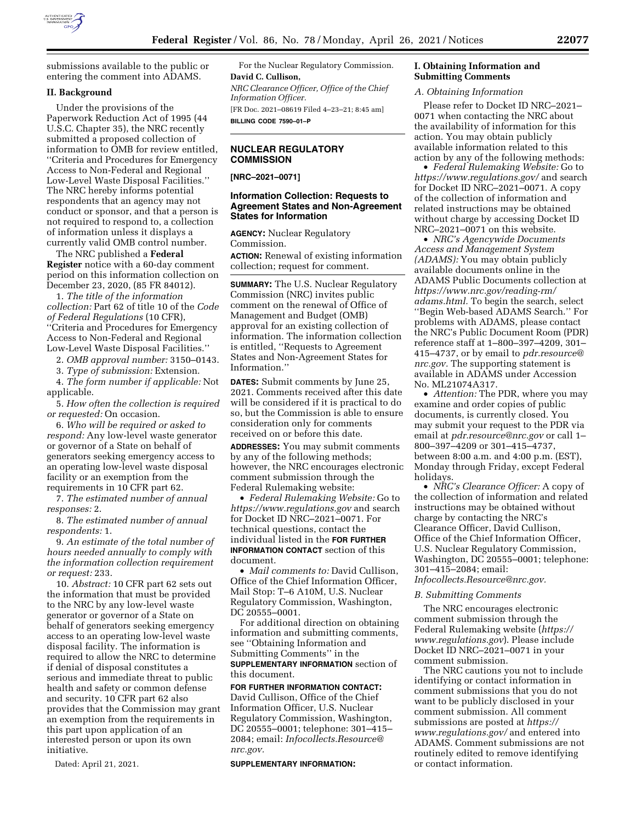

submissions available to the public or entering the comment into ADAMS.

# **II. Background**

Under the provisions of the Paperwork Reduction Act of 1995 (44 U.S.C. Chapter 35), the NRC recently submitted a proposed collection of information to OMB for review entitled, ''Criteria and Procedures for Emergency Access to Non-Federal and Regional Low-Level Waste Disposal Facilities.'' The NRC hereby informs potential respondents that an agency may not conduct or sponsor, and that a person is not required to respond to, a collection of information unless it displays a currently valid OMB control number.

The NRC published a **Federal Register** notice with a 60-day comment period on this information collection on December 23, 2020, (85 FR 84012).

1. *The title of the information collection:* Part 62 of title 10 of the *Code of Federal Regulations* (10 CFR), ''Criteria and Procedures for Emergency Access to Non-Federal and Regional Low-Level Waste Disposal Facilities.''

2. *OMB approval number:* 3150–0143.

3. *Type of submission:* Extension.

4. *The form number if applicable:* Not applicable.

5. *How often the collection is required or requested:* On occasion.

6. *Who will be required or asked to respond:* Any low-level waste generator or governor of a State on behalf of generators seeking emergency access to an operating low-level waste disposal facility or an exemption from the requirements in 10 CFR part 62.

7. *The estimated number of annual responses:* 2.

8. *The estimated number of annual respondents:* 1.

9. *An estimate of the total number of hours needed annually to comply with the information collection requirement or request:* 233.

10. *Abstract:* 10 CFR part 62 sets out the information that must be provided to the NRC by any low-level waste generator or governor of a State on behalf of generators seeking emergency access to an operating low-level waste disposal facility. The information is required to allow the NRC to determine if denial of disposal constitutes a serious and immediate threat to public health and safety or common defense and security. 10 CFR part 62 also provides that the Commission may grant an exemption from the requirements in this part upon application of an interested person or upon its own initiative.

Dated: April 21, 2021.

For the Nuclear Regulatory Commission. **David C. Cullison,**  *NRC Clearance Officer, Office of the Chief Information Officer.*  [FR Doc. 2021–08619 Filed 4–23–21; 8:45 am] **BILLING CODE 7590–01–P** 

# **NUCLEAR REGULATORY COMMISSION**

**[NRC–2021–0071]** 

## **Information Collection: Requests to Agreement States and Non-Agreement States for Information**

**AGENCY:** Nuclear Regulatory Commission.

**ACTION:** Renewal of existing information collection; request for comment.

**SUMMARY:** The U.S. Nuclear Regulatory Commission (NRC) invites public comment on the renewal of Office of Management and Budget (OMB) approval for an existing collection of information. The information collection is entitled, ''Requests to Agreement States and Non-Agreement States for Information.''

**DATES:** Submit comments by June 25, 2021. Comments received after this date will be considered if it is practical to do so, but the Commission is able to ensure consideration only for comments received on or before this date.

**ADDRESSES:** You may submit comments by any of the following methods; however, the NRC encourages electronic comment submission through the Federal Rulemaking website:

• *Federal Rulemaking Website:* Go to *<https://www.regulations.gov>* and search for Docket ID NRC–2021–0071. For technical questions, contact the individual listed in the **FOR FURTHER INFORMATION CONTACT** section of this document.

• *Mail comments to:* David Cullison, Office of the Chief Information Officer, Mail Stop: T–6 A10M, U.S. Nuclear Regulatory Commission, Washington, DC 20555–0001.

For additional direction on obtaining information and submitting comments, see ''Obtaining Information and Submitting Comments'' in the **SUPPLEMENTARY INFORMATION** section of this document.

**FOR FURTHER INFORMATION CONTACT:**  David Cullison, Office of the Chief Information Officer, U.S. Nuclear Regulatory Commission, Washington, DC 20555–0001; telephone: 301–415– 2084; email: *[Infocollects.Resource@](mailto:Infocollects.Resource@nrc.gov) [nrc.gov.](mailto:Infocollects.Resource@nrc.gov)* 

**SUPPLEMENTARY INFORMATION:** 

# **I. Obtaining Information and Submitting Comments**

### *A. Obtaining Information*

Please refer to Docket ID NRC–2021– 0071 when contacting the NRC about the availability of information for this action. You may obtain publicly available information related to this action by any of the following methods:

• *Federal Rulemaking Website:* Go to *<https://www.regulations.gov/>*and search for Docket ID NRC–2021–0071. A copy of the collection of information and related instructions may be obtained without charge by accessing Docket ID NRC–2021–0071 on this website.

• *NRC's Agencywide Documents Access and Management System (ADAMS):* You may obtain publicly available documents online in the ADAMS Public Documents collection at *[https://www.nrc.gov/reading-rm/](https://www.nrc.gov/reading-rm/adams.html)  [adams.html.](https://www.nrc.gov/reading-rm/adams.html)* To begin the search, select ''Begin Web-based ADAMS Search.'' For problems with ADAMS, please contact the NRC's Public Document Room (PDR) reference staff at 1–800–397–4209, 301– 415–4737, or by email to *[pdr.resource@](mailto:pdr.resource@nrc.gov) [nrc.gov.](mailto:pdr.resource@nrc.gov)* The supporting statement is available in ADAMS under Accession No. ML21074A317.

• *Attention:* The PDR, where you may examine and order copies of public documents, is currently closed. You may submit your request to the PDR via email at *[pdr.resource@nrc.gov](mailto:pdr.resource@nrc.gov)* or call 1– 800–397–4209 or 301–415–4737, between 8:00 a.m. and 4:00 p.m. (EST), Monday through Friday, except Federal holidays.

• *NRC's Clearance Officer:* A copy of the collection of information and related instructions may be obtained without charge by contacting the NRC's Clearance Officer, David Cullison, Office of the Chief Information Officer, U.S. Nuclear Regulatory Commission, Washington, DC 20555–0001; telephone: 301–415–2084; email: *[Infocollects.Resource@nrc.gov.](mailto:Infocollects.Resource@nrc.gov)* 

# *B. Submitting Comments*

The NRC encourages electronic comment submission through the Federal Rulemaking website (*[https://](https://www.regulations.gov) [www.regulations.gov](https://www.regulations.gov)*). Please include Docket ID NRC–2021–0071 in your comment submission.

The NRC cautions you not to include identifying or contact information in comment submissions that you do not want to be publicly disclosed in your comment submission. All comment submissions are posted at *[https://](https://www.regulations.gov/) [www.regulations.gov/](https://www.regulations.gov/)* and entered into ADAMS. Comment submissions are not routinely edited to remove identifying or contact information.